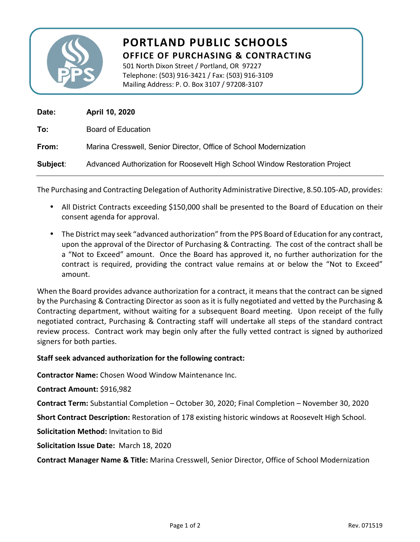

## **PORTLAND PUBLIC SCHOOLS OFFICE OF PURCHASING & CONTRACTING**

501 North Dixon Street / Portland, OR 97227 Telephone: (503) 916-3421 / Fax: (503) 916-3109 Mailing Address: P. O. Box 3107 / 97208-3107

| Date:    | April 10, 2020                                                              |
|----------|-----------------------------------------------------------------------------|
| To:      | <b>Board of Education</b>                                                   |
| From:    | Marina Cresswell, Senior Director, Office of School Modernization           |
| Subject: | Advanced Authorization for Roosevelt High School Window Restoration Project |

The Purchasing and Contracting Delegation of Authority Administrative Directive, 8.50.105-AD, provides:

- All District Contracts exceeding \$150,000 shall be presented to the Board of Education on their consent agenda for approval.
- The District may seek "advanced authorization" from the PPS Board of Education for any contract, upon the approval of the Director of Purchasing & Contracting. The cost of the contract shall be a "Not to Exceed" amount. Once the Board has approved it, no further authorization for the contract is required, providing the contract value remains at or below the "Not to Exceed" amount.

When the Board provides advance authorization for a contract, it means that the contract can be signed by the Purchasing & Contracting Director as soon as it is fully negotiated and vetted by the Purchasing & Contracting department, without waiting for a subsequent Board meeting. Upon receipt of the fully negotiated contract, Purchasing & Contracting staff will undertake all steps of the standard contract review process. Contract work may begin only after the fully vetted contract is signed by authorized signers for both parties.

## **Staff seek advanced authorization for the following contract:**

**Contractor Name:** Chosen Wood Window Maintenance Inc.

**Contract Amount:** \$916,982

**Contract Term:** Substantial Completion – October 30, 2020; Final Completion – November 30, 2020

**Short Contract Description:** Restoration of 178 existing historic windows at Roosevelt High School.

**Solicitation Method:** Invitation to Bid

**Solicitation Issue Date:** March 18, 2020

**Contract Manager Name & Title:** Marina Cresswell, Senior Director, Office of School Modernization